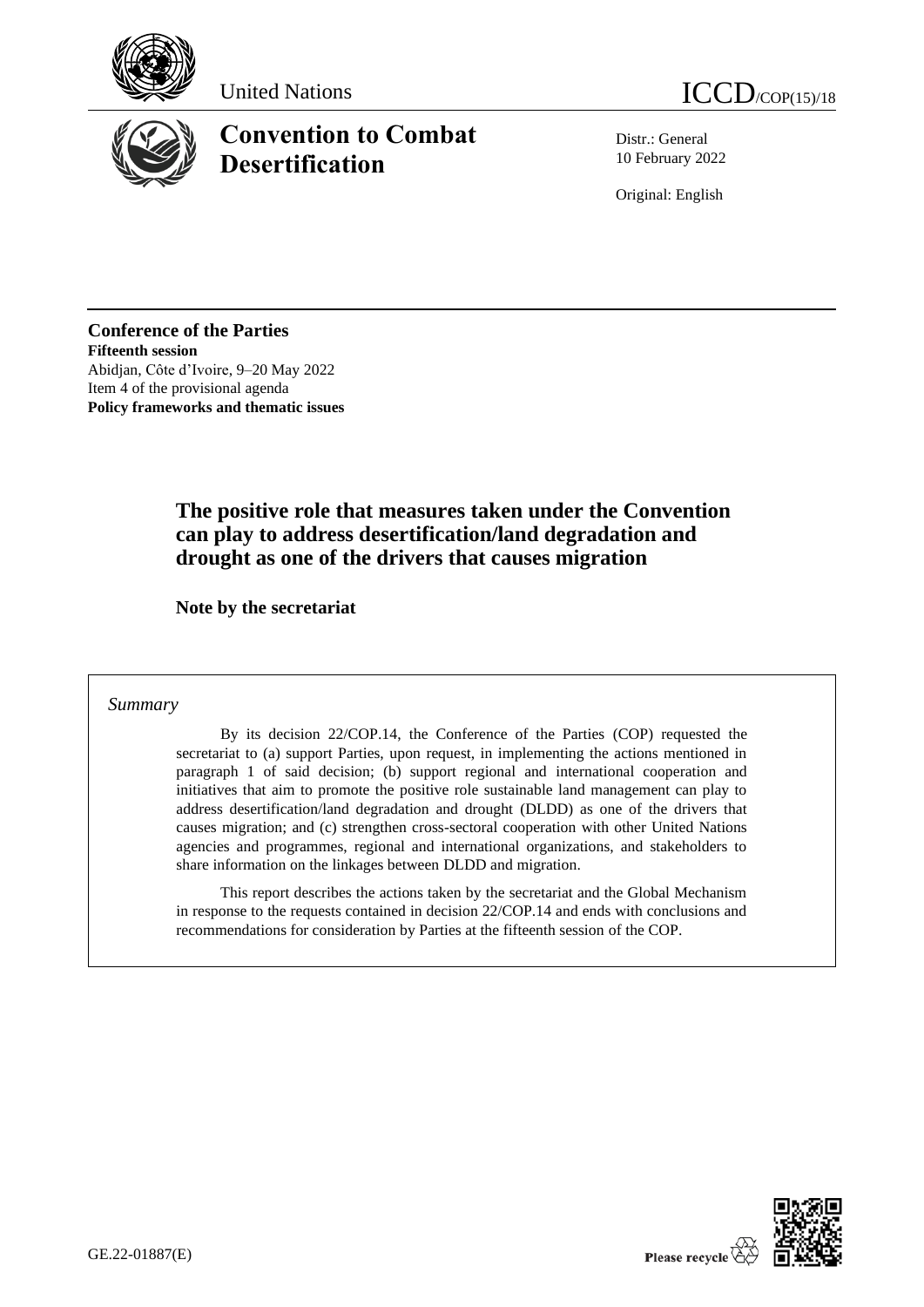





# **Convention to Combat Desertification**

Distr.: General 10 February 2022

Original: English

**Conference of the Parties Fifteenth session** Abidjan, Côte d'Ivoire, 9–20 May 2022 Item 4 of the provisional agenda **Policy frameworks and thematic issues**

## **The positive role that measures taken under the Convention can play to address desertification/land degradation and drought as one of the drivers that causes migration**

**Note by the secretariat**

#### *Summary*

By its decision 22/COP.14, the Conference of the Parties (COP) requested the secretariat to (a) support Parties, upon request, in implementing the actions mentioned in paragraph 1 of said decision; (b) support regional and international cooperation and initiatives that aim to promote the positive role sustainable land management can play to address desertification/land degradation and drought (DLDD) as one of the drivers that causes migration; and (c) strengthen cross-sectoral cooperation with other United Nations agencies and programmes, regional and international organizations, and stakeholders to share information on the linkages between DLDD and migration.

This report describes the actions taken by the secretariat and the Global Mechanism in response to the requests contained in decision 22/COP.14 and ends with conclusions and recommendations for consideration by Parties at the fifteenth session of the COP.

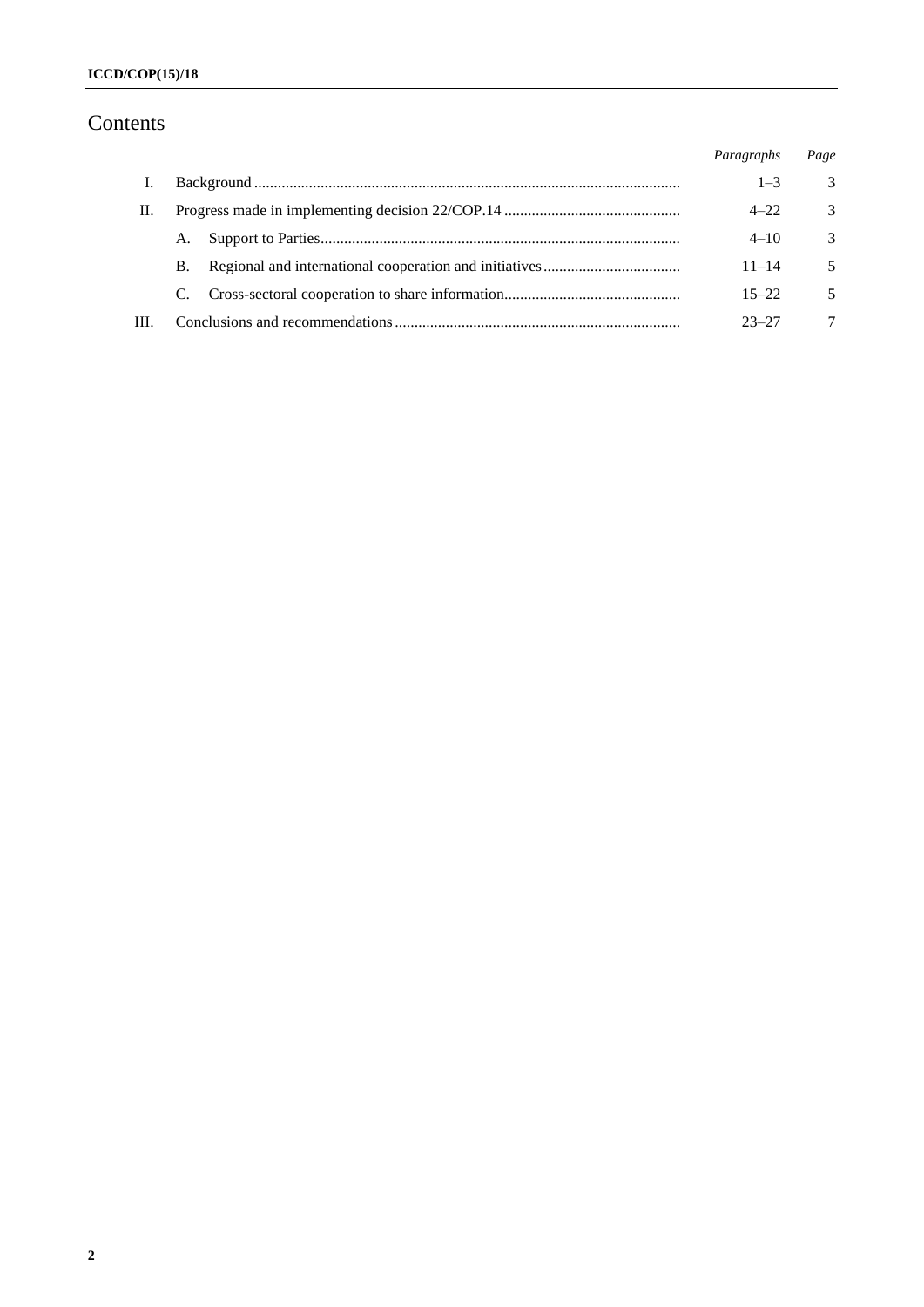## Contents

|      |           |  | Paragraphs | Page          |
|------|-----------|--|------------|---------------|
|      |           |  | $1 - 3$    | 3             |
| H.   |           |  | $4 - 22$   | 3             |
|      | А.        |  | $4 - 10$   | $\mathcal{R}$ |
|      | <b>B.</b> |  | $11 - 14$  | 5             |
|      | C.        |  | $15 - 22$  | 5             |
| III. |           |  | $23 - 27$  | 7             |
|      |           |  |            |               |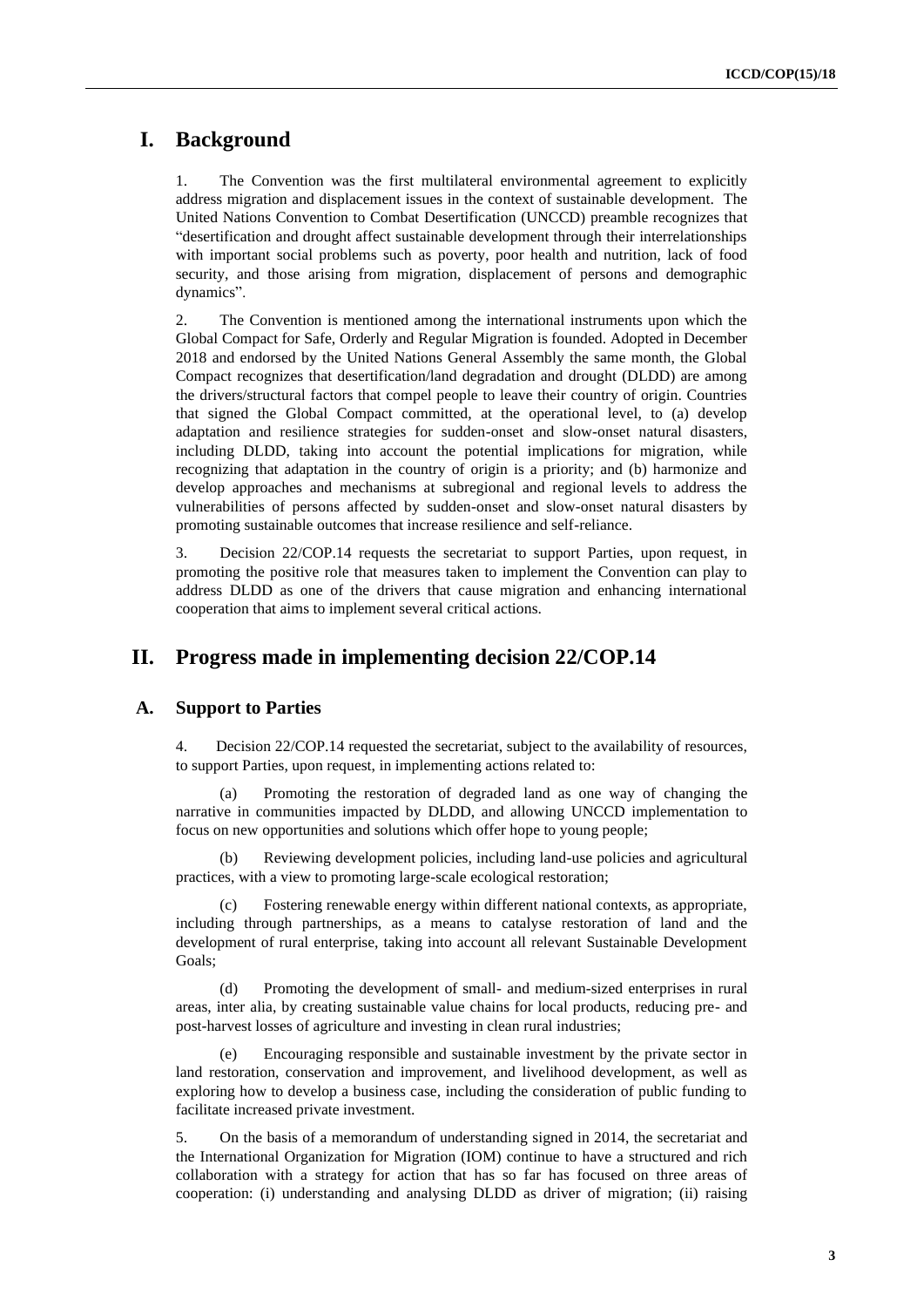## **I. Background**

1. The Convention was the first multilateral environmental agreement to explicitly address migration and displacement issues in the context of sustainable development. The United Nations Convention to Combat Desertification (UNCCD) preamble recognizes that "desertification and drought affect sustainable development through their interrelationships with important social problems such as poverty, poor health and nutrition, lack of food security, and those arising from migration, displacement of persons and demographic dynamics".

2. The Convention is mentioned among the international instruments upon which the Global Compact for Safe, Orderly and Regular Migration is founded. Adopted in December 2018 and endorsed by the United Nations General Assembly the same month, the Global Compact recognizes that desertification/land degradation and drought (DLDD) are among the drivers/structural factors that compel people to leave their country of origin. Countries that signed the Global Compact committed, at the operational level, to (a) develop adaptation and resilience strategies for sudden-onset and slow-onset natural disasters, including DLDD, taking into account the potential implications for migration, while recognizing that adaptation in the country of origin is a priority; and (b) harmonize and develop approaches and mechanisms at subregional and regional levels to address the vulnerabilities of persons affected by sudden-onset and slow-onset natural disasters by promoting sustainable outcomes that increase resilience and self-reliance.

3. Decision 22/COP.14 requests the secretariat to support Parties, upon request, in promoting the positive role that measures taken to implement the Convention can play to address DLDD as one of the drivers that cause migration and enhancing international cooperation that aims to implement several critical actions.

### **II. Progress made in implementing decision 22/COP.14**

#### **A. Support to Parties**

4. Decision 22/COP.14 requested the secretariat, subject to the availability of resources, to support Parties, upon request, in implementing actions related to:

(a) Promoting the restoration of degraded land as one way of changing the narrative in communities impacted by DLDD, and allowing UNCCD implementation to focus on new opportunities and solutions which offer hope to young people;

(b) Reviewing development policies, including land-use policies and agricultural practices, with a view to promoting large-scale ecological restoration;

(c) Fostering renewable energy within different national contexts, as appropriate, including through partnerships, as a means to catalyse restoration of land and the development of rural enterprise, taking into account all relevant Sustainable Development Goals;

(d) Promoting the development of small- and medium-sized enterprises in rural areas, inter alia, by creating sustainable value chains for local products, reducing pre- and post-harvest losses of agriculture and investing in clean rural industries;

(e) Encouraging responsible and sustainable investment by the private sector in land restoration, conservation and improvement, and livelihood development, as well as exploring how to develop a business case, including the consideration of public funding to facilitate increased private investment.

5. On the basis of a memorandum of understanding signed in 2014, the secretariat and the International Organization for Migration (IOM) continue to have a structured and rich collaboration with a strategy for action that has so far has focused on three areas of cooperation: (i) understanding and analysing DLDD as driver of migration; (ii) raising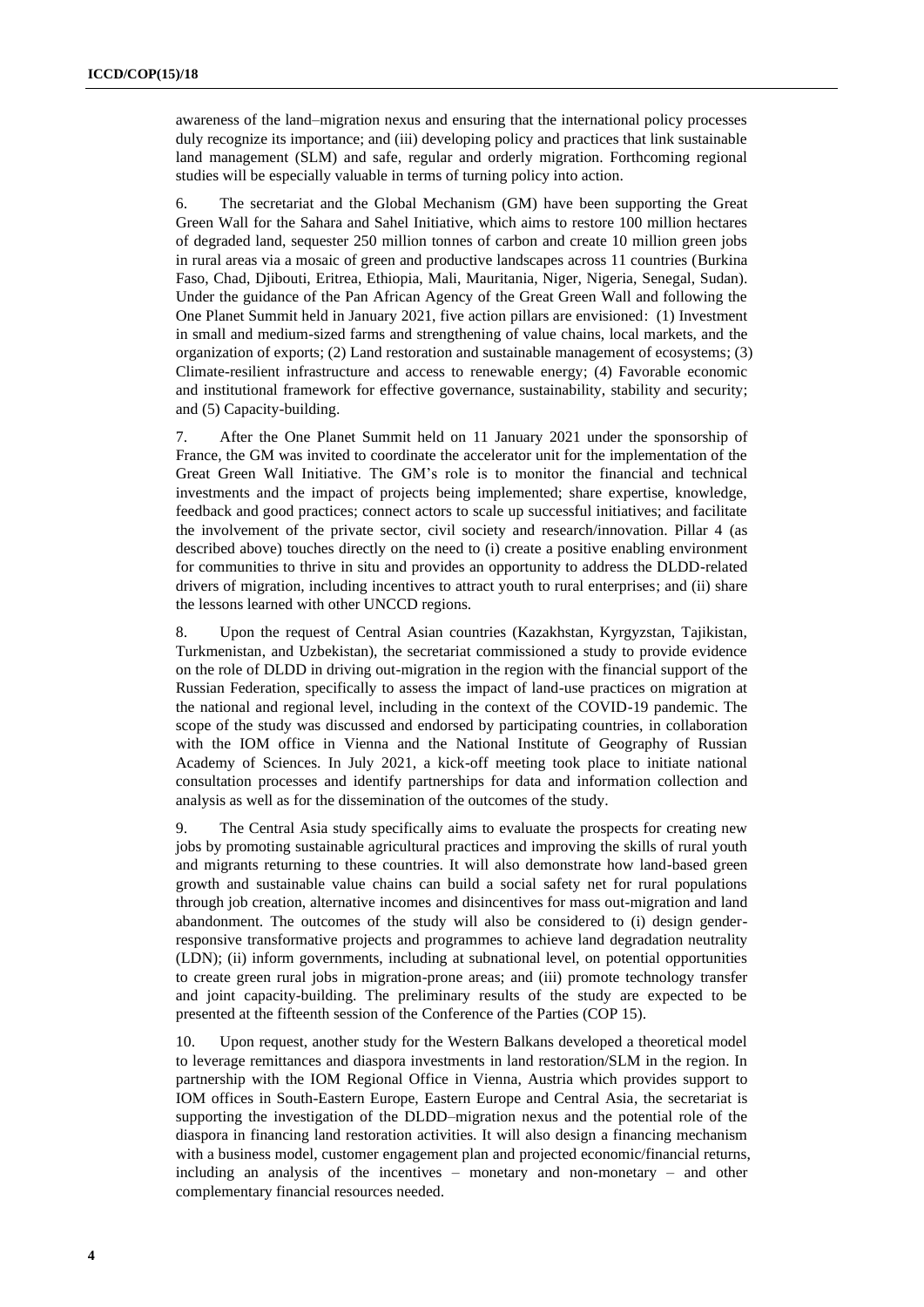awareness of the land–migration nexus and ensuring that the international policy processes duly recognize its importance; and (iii) developing policy and practices that link sustainable land management (SLM) and safe, regular and orderly migration. Forthcoming regional studies will be especially valuable in terms of turning policy into action.

6. The secretariat and the Global Mechanism (GM) have been supporting the Great Green Wall for the Sahara and Sahel Initiative, which aims to restore 100 million hectares of degraded land, sequester 250 million tonnes of carbon and create 10 million green jobs in rural areas via a mosaic of green and productive landscapes across 11 countries (Burkina Faso, Chad, Djibouti, Eritrea, Ethiopia, Mali, Mauritania, Niger, Nigeria, Senegal, Sudan). Under the guidance of the Pan African Agency of the Great Green Wall and following the One Planet Summit held in January 2021, five action pillars are envisioned: (1) Investment in small and medium-sized farms and strengthening of value chains, local markets, and the organization of exports; (2) Land restoration and sustainable management of ecosystems; (3) Climate-resilient infrastructure and access to renewable energy; (4) Favorable economic and institutional framework for effective governance, sustainability, stability and security; and (5) Capacity-building.

7. After the One Planet Summit held on 11 January 2021 under the sponsorship of France, the GM was invited to coordinate the accelerator unit for the implementation of the Great Green Wall Initiative. The GM's role is to monitor the financial and technical investments and the impact of projects being implemented; share expertise, knowledge, feedback and good practices; connect actors to scale up successful initiatives; and facilitate the involvement of the private sector, civil society and research/innovation. Pillar 4 (as described above) touches directly on the need to (i) create a positive enabling environment for communities to thrive in situ and provides an opportunity to address the DLDD-related drivers of migration, including incentives to attract youth to rural enterprises; and (ii) share the lessons learned with other UNCCD regions.

8. Upon the request of Central Asian countries (Kazakhstan, Kyrgyzstan, Tajikistan, Turkmenistan, and Uzbekistan), the secretariat commissioned a study to provide evidence on the role of DLDD in driving out-migration in the region with the financial support of the Russian Federation, specifically to assess the impact of land-use practices on migration at the national and regional level, including in the context of the COVID-19 pandemic. The scope of the study was discussed and endorsed by participating countries, in collaboration with the IOM office in Vienna and the National Institute of Geography of Russian Academy of Sciences. In July 2021, a kick-off meeting took place to initiate national consultation processes and identify partnerships for data and information collection and analysis as well as for the dissemination of the outcomes of the study.

9. The Central Asia study specifically aims to evaluate the prospects for creating new jobs by promoting sustainable agricultural practices and improving the skills of rural youth and migrants returning to these countries. It will also demonstrate how land-based green growth and sustainable value chains can build a social safety net for rural populations through job creation, alternative incomes and disincentives for mass out-migration and land abandonment. The outcomes of the study will also be considered to (i) design genderresponsive transformative projects and programmes to achieve land degradation neutrality (LDN); (ii) inform governments, including at subnational level, on potential opportunities to create green rural jobs in migration-prone areas; and (iii) promote technology transfer and joint capacity-building. The preliminary results of the study are expected to be presented at the fifteenth session of the Conference of the Parties (COP 15).

10. Upon request, another study for the Western Balkans developed a theoretical model to leverage remittances and diaspora investments in land restoration/SLM in the region. In partnership with the IOM Regional Office in Vienna, Austria which provides support to IOM offices in South-Eastern Europe, Eastern Europe and Central Asia, the secretariat is supporting the investigation of the DLDD–migration nexus and the potential role of the diaspora in financing land restoration activities. It will also design a financing mechanism with a business model, customer engagement plan and projected economic/financial returns, including an analysis of the incentives – monetary and non-monetary – and other complementary financial resources needed.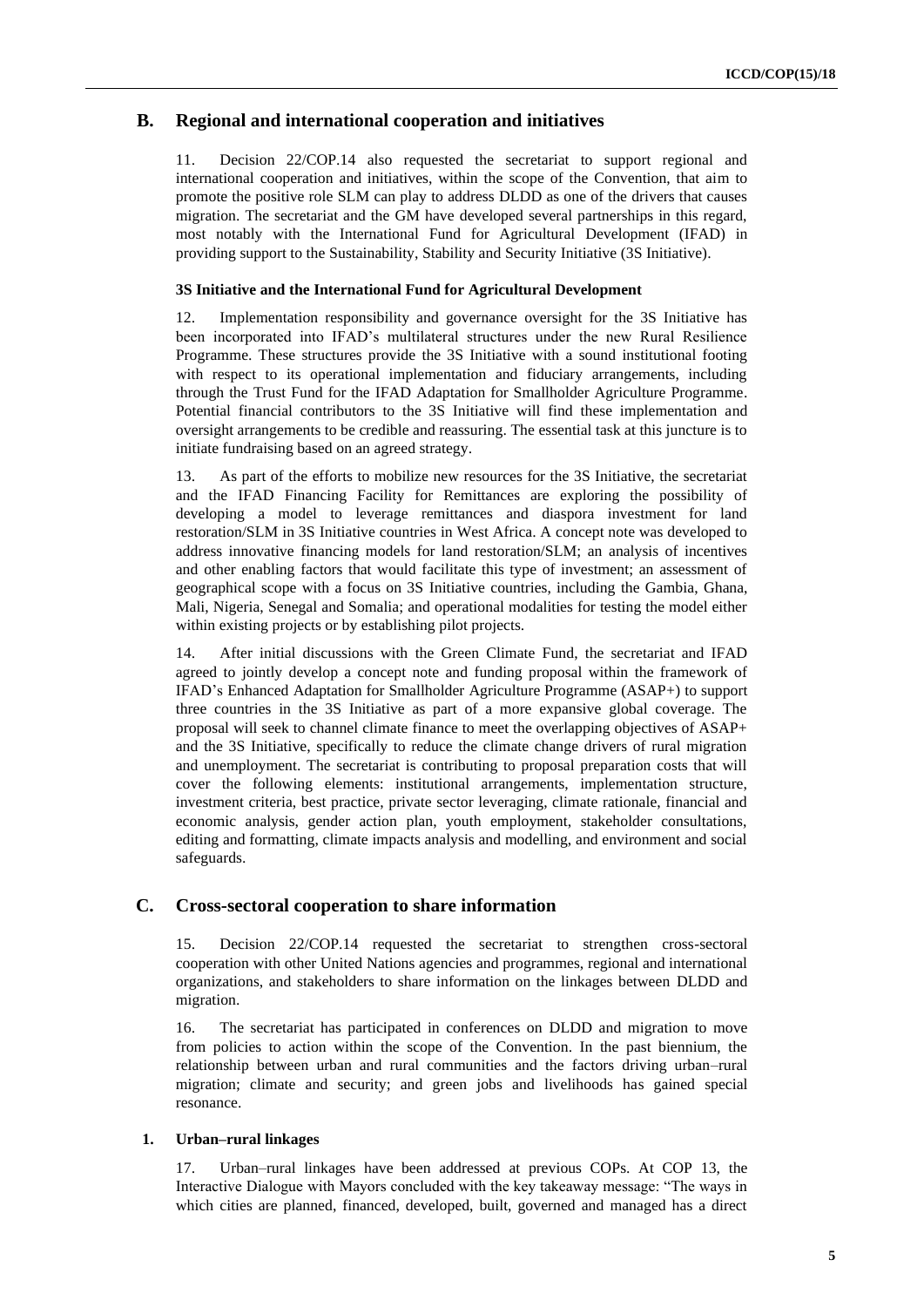#### **B. Regional and international cooperation and initiatives**

11. Decision 22/COP.14 also requested the secretariat to support regional and international cooperation and initiatives, within the scope of the Convention, that aim to promote the positive role SLM can play to address DLDD as one of the drivers that causes migration. The secretariat and the GM have developed several partnerships in this regard, most notably with the International Fund for Agricultural Development (IFAD) in providing support to the Sustainability, Stability and Security Initiative (3S Initiative).

#### **3S Initiative and the International Fund for Agricultural Development**

12. Implementation responsibility and governance oversight for the 3S Initiative has been incorporated into IFAD's multilateral structures under the new Rural Resilience Programme. These structures provide the 3S Initiative with a sound institutional footing with respect to its operational implementation and fiduciary arrangements, including through the Trust Fund for the IFAD Adaptation for Smallholder Agriculture Programme. Potential financial contributors to the 3S Initiative will find these implementation and oversight arrangements to be credible and reassuring. The essential task at this juncture is to initiate fundraising based on an agreed strategy.

13. As part of the efforts to mobilize new resources for the 3S Initiative, the secretariat and the IFAD Financing Facility for Remittances are exploring the possibility of developing a model to leverage remittances and diaspora investment for land restoration/SLM in 3S Initiative countries in West Africa. A concept note was developed to address innovative financing models for land restoration/SLM; an analysis of incentives and other enabling factors that would facilitate this type of investment; an assessment of geographical scope with a focus on 3S Initiative countries, including the Gambia, Ghana, Mali, Nigeria, Senegal and Somalia; and operational modalities for testing the model either within existing projects or by establishing pilot projects.

14. After initial discussions with the Green Climate Fund, the secretariat and IFAD agreed to jointly develop a concept note and funding proposal within the framework of IFAD's Enhanced Adaptation for Smallholder Agriculture Programme (ASAP+) to support three countries in the 3S Initiative as part of a more expansive global coverage. The proposal will seek to channel climate finance to meet the overlapping objectives of ASAP+ and the 3S Initiative, specifically to reduce the climate change drivers of rural migration and unemployment. The secretariat is contributing to proposal preparation costs that will cover the following elements: institutional arrangements, implementation structure, investment criteria, best practice, private sector leveraging, climate rationale, financial and economic analysis, gender action plan, youth employment, stakeholder consultations, editing and formatting, climate impacts analysis and modelling, and environment and social safeguards.

#### **C. Cross-sectoral cooperation to share information**

15. Decision 22/COP.14 requested the secretariat to strengthen cross-sectoral cooperation with other United Nations agencies and programmes, regional and international organizations, and stakeholders to share information on the linkages between DLDD and migration.

16. The secretariat has participated in conferences on DLDD and migration to move from policies to action within the scope of the Convention. In the past biennium, the relationship between urban and rural communities and the factors driving urban–rural migration; climate and security; and green jobs and livelihoods has gained special resonance.

#### **1. Urban–rural linkages**

17. Urban–rural linkages have been addressed at previous COPs. At COP 13, the Interactive Dialogue with Mayors concluded with the key takeaway message: "The ways in which cities are planned, financed, developed, built, governed and managed has a direct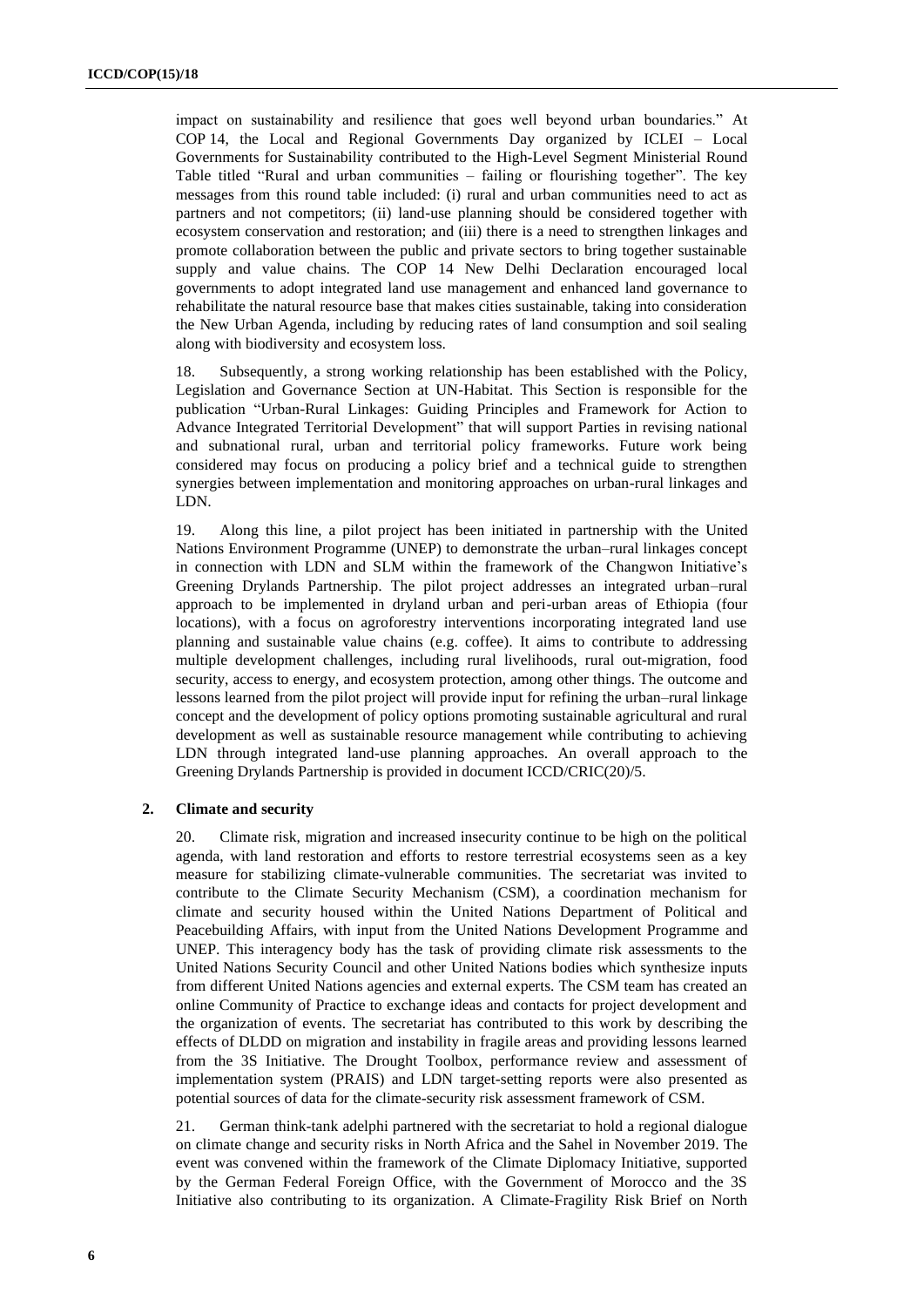impact on sustainability and resilience that goes well beyond urban boundaries." At COP 14, the Local and Regional Governments Day organized by ICLEI – Local Governments for Sustainability contributed to the High-Level Segment Ministerial Round Table titled "Rural and urban communities – failing or flourishing together". The key messages from this round table included: (i) rural and urban communities need to act as partners and not competitors; (ii) land-use planning should be considered together with ecosystem conservation and restoration; and (iii) there is a need to strengthen linkages and promote collaboration between the public and private sectors to bring together sustainable supply and value chains. The COP 14 New Delhi Declaration encouraged local governments to adopt integrated land use management and enhanced land governance to rehabilitate the natural resource base that makes cities sustainable, taking into consideration the New Urban Agenda, including by reducing rates of land consumption and soil sealing along with biodiversity and ecosystem loss.

18. Subsequently, a strong working relationship has been established with the Policy, Legislation and Governance Section at UN-Habitat. This Section is responsible for the publication "Urban-Rural Linkages: Guiding Principles and Framework for Action to Advance Integrated Territorial Development" that will support Parties in revising national and subnational rural, urban and territorial policy frameworks. Future work being considered may focus on producing a policy brief and a technical guide to strengthen synergies between implementation and monitoring approaches on urban-rural linkages and LDN.

19. Along this line, a pilot project has been initiated in partnership with the United Nations Environment Programme (UNEP) to demonstrate the urban–rural linkages concept in connection with LDN and SLM within the framework of the Changwon Initiative's Greening Drylands Partnership. The pilot project addresses an integrated urban–rural approach to be implemented in dryland urban and peri-urban areas of Ethiopia (four locations), with a focus on agroforestry interventions incorporating integrated land use planning and sustainable value chains (e.g. coffee). It aims to contribute to addressing multiple development challenges, including rural livelihoods, rural out-migration, food security, access to energy, and ecosystem protection, among other things. The outcome and lessons learned from the pilot project will provide input for refining the urban–rural linkage concept and the development of policy options promoting sustainable agricultural and rural development as well as sustainable resource management while contributing to achieving LDN through integrated land-use planning approaches. An overall approach to the Greening Drylands Partnership is provided in document ICCD/CRIC(20)/5.

#### **2. Climate and security**

20. Climate risk, migration and increased insecurity continue to be high on the political agenda, with land restoration and efforts to restore terrestrial ecosystems seen as a key measure for stabilizing climate-vulnerable communities. The secretariat was invited to contribute to the Climate Security Mechanism (CSM), a coordination mechanism for climate and security housed within the United Nations Department of Political and Peacebuilding Affairs, with input from the United Nations Development Programme and UNEP. This interagency body has the task of providing climate risk assessments to the United Nations Security Council and other United Nations bodies which synthesize inputs from different United Nations agencies and external experts. The CSM team has created an online Community of Practice to exchange ideas and contacts for project development and the organization of events. The secretariat has contributed to this work by describing the effects of DLDD on migration and instability in fragile areas and providing lessons learned from the 3S Initiative. The Drought Toolbox, performance review and assessment of implementation system (PRAIS) and LDN target-setting reports were also presented as potential sources of data for the climate-security risk assessment framework of CSM.

21. German think-tank adelphi partnered with the secretariat to hold a regional dialogue on climate change and security risks in North Africa and the Sahel in November 2019. The event was convened within the framework of the Climate Diplomacy Initiative, supported by the German Federal Foreign Office, with the Government of Morocco and the 3S Initiative also contributing to its organization. A Climate-Fragility Risk Brief on North